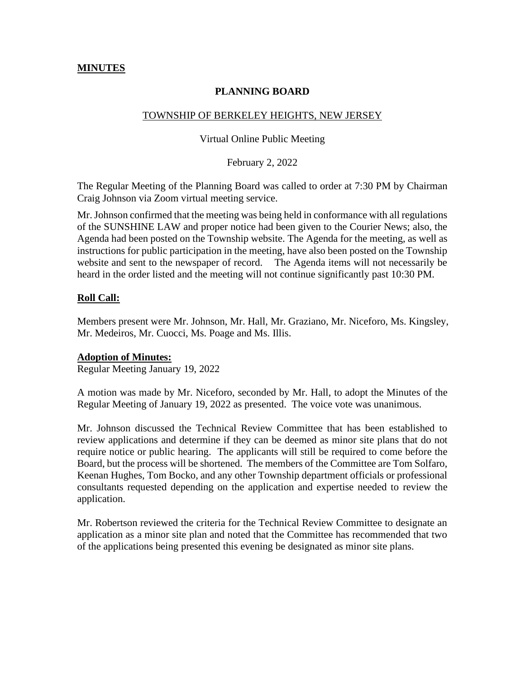## **MINUTES**

## **PLANNING BOARD**

#### TOWNSHIP OF BERKELEY HEIGHTS, NEW JERSEY

#### Virtual Online Public Meeting

February 2, 2022

The Regular Meeting of the Planning Board was called to order at 7:30 PM by Chairman Craig Johnson via Zoom virtual meeting service.

Mr. Johnson confirmed that the meeting was being held in conformance with all regulations of the SUNSHINE LAW and proper notice had been given to the Courier News; also, the Agenda had been posted on the Township website. The Agenda for the meeting, as well as instructions for public participation in the meeting, have also been posted on the Township website and sent to the newspaper of record. The Agenda items will not necessarily be heard in the order listed and the meeting will not continue significantly past 10:30 PM.

#### **Roll Call:**

Members present were Mr. Johnson, Mr. Hall, Mr. Graziano, Mr. Niceforo, Ms. Kingsley, Mr. Medeiros, Mr. Cuocci, Ms. Poage and Ms. Illis.

#### **Adoption of Minutes:**

Regular Meeting January 19, 2022

A motion was made by Mr. Niceforo, seconded by Mr. Hall, to adopt the Minutes of the Regular Meeting of January 19, 2022 as presented. The voice vote was unanimous.

Mr. Johnson discussed the Technical Review Committee that has been established to review applications and determine if they can be deemed as minor site plans that do not require notice or public hearing. The applicants will still be required to come before the Board, but the process will be shortened. The members of the Committee are Tom Solfaro, Keenan Hughes, Tom Bocko, and any other Township department officials or professional consultants requested depending on the application and expertise needed to review the application.

Mr. Robertson reviewed the criteria for the Technical Review Committee to designate an application as a minor site plan and noted that the Committee has recommended that two of the applications being presented this evening be designated as minor site plans.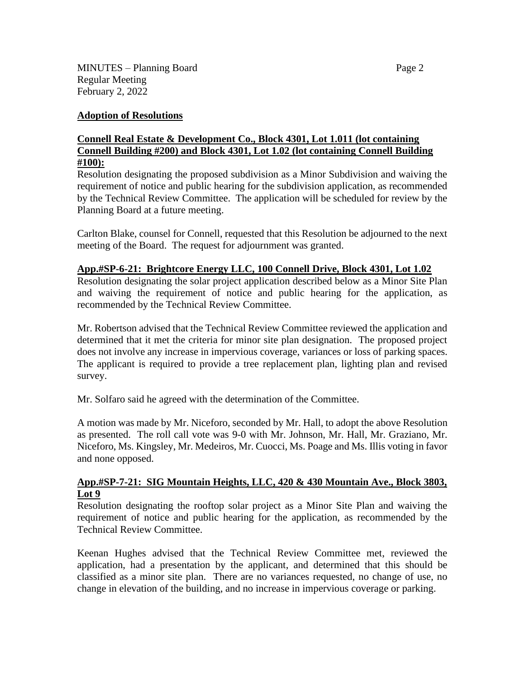# **Adoption of Resolutions**

## **Connell Real Estate & Development Co., Block 4301, Lot 1.011 (lot containing Connell Building #200) and Block 4301, Lot 1.02 (lot containing Connell Building #100):**

Resolution designating the proposed subdivision as a Minor Subdivision and waiving the requirement of notice and public hearing for the subdivision application, as recommended by the Technical Review Committee. The application will be scheduled for review by the Planning Board at a future meeting.

Carlton Blake, counsel for Connell, requested that this Resolution be adjourned to the next meeting of the Board. The request for adjournment was granted.

## **App.#SP-6-21: Brightcore Energy LLC, 100 Connell Drive, Block 4301, Lot 1.02**

Resolution designating the solar project application described below as a Minor Site Plan and waiving the requirement of notice and public hearing for the application, as recommended by the Technical Review Committee.

Mr. Robertson advised that the Technical Review Committee reviewed the application and determined that it met the criteria for minor site plan designation. The proposed project does not involve any increase in impervious coverage, variances or loss of parking spaces. The applicant is required to provide a tree replacement plan, lighting plan and revised survey.

Mr. Solfaro said he agreed with the determination of the Committee.

A motion was made by Mr. Niceforo, seconded by Mr. Hall, to adopt the above Resolution as presented. The roll call vote was 9-0 with Mr. Johnson, Mr. Hall, Mr. Graziano, Mr. Niceforo, Ms. Kingsley, Mr. Medeiros, Mr. Cuocci, Ms. Poage and Ms. Illis voting in favor and none opposed.

# **App.#SP-7-21: SIG Mountain Heights, LLC, 420 & 430 Mountain Ave., Block 3803, Lot 9**

Resolution designating the rooftop solar project as a Minor Site Plan and waiving the requirement of notice and public hearing for the application, as recommended by the Technical Review Committee.

Keenan Hughes advised that the Technical Review Committee met, reviewed the application, had a presentation by the applicant, and determined that this should be classified as a minor site plan. There are no variances requested, no change of use, no change in elevation of the building, and no increase in impervious coverage or parking.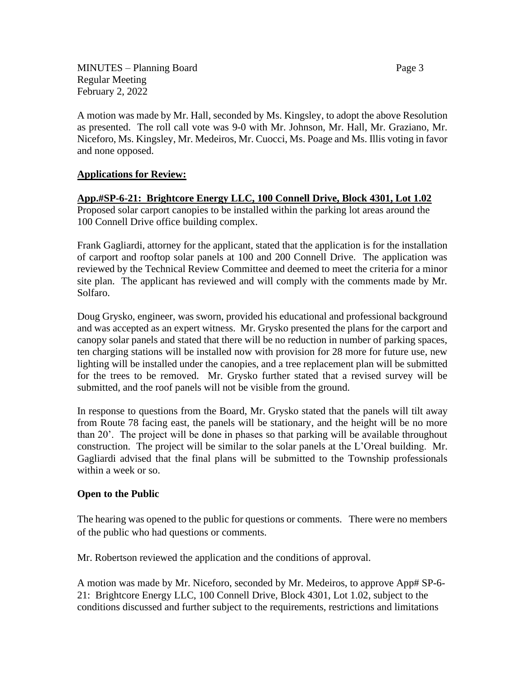MINUTES – Planning Board Page 3 Regular Meeting February 2, 2022

A motion was made by Mr. Hall, seconded by Ms. Kingsley, to adopt the above Resolution as presented. The roll call vote was 9-0 with Mr. Johnson, Mr. Hall, Mr. Graziano, Mr. Niceforo, Ms. Kingsley, Mr. Medeiros, Mr. Cuocci, Ms. Poage and Ms. Illis voting in favor and none opposed.

# **Applications for Review:**

# **App.#SP-6-21: Brightcore Energy LLC, 100 Connell Drive, Block 4301, Lot 1.02**

Proposed solar carport canopies to be installed within the parking lot areas around the 100 Connell Drive office building complex.

Frank Gagliardi, attorney for the applicant, stated that the application is for the installation of carport and rooftop solar panels at 100 and 200 Connell Drive. The application was reviewed by the Technical Review Committee and deemed to meet the criteria for a minor site plan. The applicant has reviewed and will comply with the comments made by Mr. Solfaro.

Doug Grysko, engineer, was sworn, provided his educational and professional background and was accepted as an expert witness. Mr. Grysko presented the plans for the carport and canopy solar panels and stated that there will be no reduction in number of parking spaces, ten charging stations will be installed now with provision for 28 more for future use, new lighting will be installed under the canopies, and a tree replacement plan will be submitted for the trees to be removed. Mr. Grysko further stated that a revised survey will be submitted, and the roof panels will not be visible from the ground.

In response to questions from the Board, Mr. Grysko stated that the panels will tilt away from Route 78 facing east, the panels will be stationary, and the height will be no more than 20'. The project will be done in phases so that parking will be available throughout construction. The project will be similar to the solar panels at the L'Oreal building. Mr. Gagliardi advised that the final plans will be submitted to the Township professionals within a week or so.

## **Open to the Public**

The hearing was opened to the public for questions or comments. There were no members of the public who had questions or comments.

Mr. Robertson reviewed the application and the conditions of approval.

A motion was made by Mr. Niceforo, seconded by Mr. Medeiros, to approve App# SP-6- 21: Brightcore Energy LLC, 100 Connell Drive, Block 4301, Lot 1.02, subject to the conditions discussed and further subject to the requirements, restrictions and limitations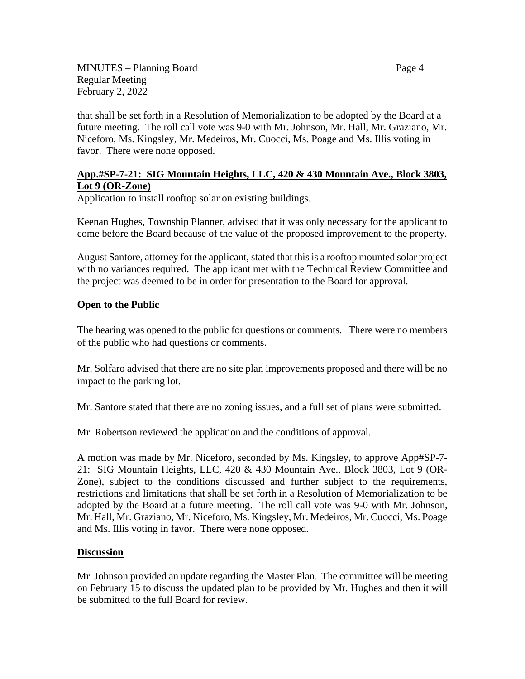MINUTES – Planning Board Page 4 Regular Meeting February 2, 2022

that shall be set forth in a Resolution of Memorialization to be adopted by the Board at a future meeting. The roll call vote was 9-0 with Mr. Johnson, Mr. Hall, Mr. Graziano, Mr. Niceforo, Ms. Kingsley, Mr. Medeiros, Mr. Cuocci, Ms. Poage and Ms. Illis voting in favor. There were none opposed.

# **App.#SP-7-21: SIG Mountain Heights, LLC, 420 & 430 Mountain Ave., Block 3803, Lot 9 (OR-Zone)**

Application to install rooftop solar on existing buildings.

Keenan Hughes, Township Planner, advised that it was only necessary for the applicant to come before the Board because of the value of the proposed improvement to the property.

August Santore, attorney for the applicant, stated that this is a rooftop mounted solar project with no variances required. The applicant met with the Technical Review Committee and the project was deemed to be in order for presentation to the Board for approval.

# **Open to the Public**

The hearing was opened to the public for questions or comments. There were no members of the public who had questions or comments.

Mr. Solfaro advised that there are no site plan improvements proposed and there will be no impact to the parking lot.

Mr. Santore stated that there are no zoning issues, and a full set of plans were submitted.

Mr. Robertson reviewed the application and the conditions of approval.

A motion was made by Mr. Niceforo, seconded by Ms. Kingsley, to approve App#SP-7- 21: SIG Mountain Heights, LLC, 420 & 430 Mountain Ave., Block 3803, Lot 9 (OR-Zone), subject to the conditions discussed and further subject to the requirements, restrictions and limitations that shall be set forth in a Resolution of Memorialization to be adopted by the Board at a future meeting. The roll call vote was 9-0 with Mr. Johnson, Mr. Hall, Mr. Graziano, Mr. Niceforo, Ms. Kingsley, Mr. Medeiros, Mr. Cuocci, Ms. Poage and Ms. Illis voting in favor. There were none opposed.

## **Discussion**

Mr. Johnson provided an update regarding the Master Plan. The committee will be meeting on February 15 to discuss the updated plan to be provided by Mr. Hughes and then it will be submitted to the full Board for review.